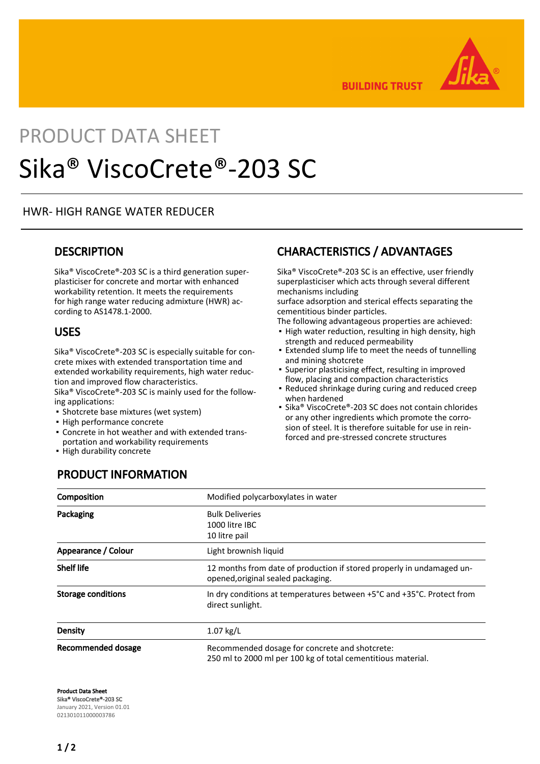

**BUILDING TRUST** 

# PRODUCT DATA SHEET Sika® ViscoCrete®-203 SC

#### HWR- HIGH RANGE WATER REDUCER

#### **DESCRIPTION**

Sika® ViscoCrete®-203 SC is a third generation superplasticiser for concrete and mortar with enhanced workability retention. It meets the requirements for high range water reducing admixture (HWR) according to AS1478.1-2000.

#### USES

Sika® ViscoCrete®-203 SC is especially suitable for concrete mixes with extended transportation time and extended workability requirements, high water reduction and improved flow characteristics.

Sika® ViscoCrete®-203 SC is mainly used for the following applications:

**·** Shotcrete base mixtures (wet system)

PRODUCT INFORMATION

- High performance concrete
- Concrete in hot weather and with extended trans-▪ portation and workability requirements
- High durability concrete

## CHARACTERISTICS / ADVANTAGES

Sika® ViscoCrete®-203 SC is an effective, user friendly superplasticiser which acts through several different mechanisms including

surface adsorption and sterical effects separating the cementitious binder particles.

The following advantageous properties are achieved:

- **.** High water reduction, resulting in high density, high strength and reduced permeability
- Extended slump life to meet the needs of tunnelling and mining shotcrete
- Superior plasticising effect, resulting in improved flow, placing and compaction characteristics ▪
- Reduced shrinkage during curing and reduced creep when hardened
- Sika® ViscoCrete®-203 SC does not contain chlorides or any other ingredients which promote the corrosion of steel. It is therefore suitable for use in reinforced and pre-stressed concrete structures ▪

| Composition         | Modified polycarboxylates in water                                                                             |
|---------------------|----------------------------------------------------------------------------------------------------------------|
| Packaging           | <b>Bulk Deliveries</b><br>1000 litre IBC<br>10 litre pail                                                      |
| Appearance / Colour | Light brownish liquid                                                                                          |
| <b>Shelf life</b>   | 12 months from date of production if stored properly in undamaged un-<br>opened, original sealed packaging.    |
| Storage conditions  | In dry conditions at temperatures between +5°C and +35°C. Protect from<br>direct sunlight.                     |
| Density             | $1.07$ kg/L                                                                                                    |
| Recommended dosage  | Recommended dosage for concrete and shotcrete:<br>250 ml to 2000 ml per 100 kg of total cementitious material. |

Product Data Sheet Sika® ViscoCrete®-203 SC January 2021, Version 01.01 021301011000003786